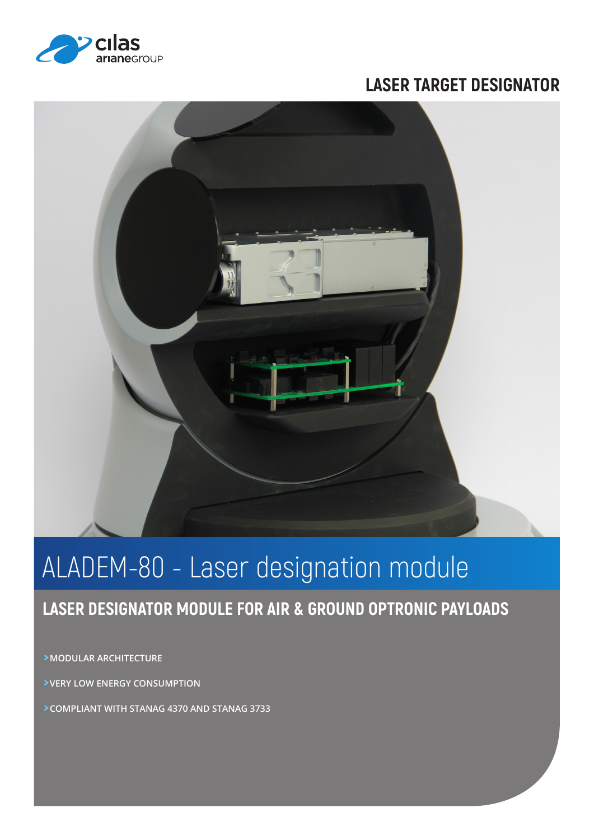

## **LASER TARGET DESIGNATOR**



# ALADEM-80 - Laser designation module

## **LASER DESIGNATOR MODULE FOR AIR & GROUND OPTRONIC PAYLOADS**

**>MODULAR ARCHITECTURE**

**>VERY LOW ENERGY CONSUMPTION** 

**>COMPLIANT WITH STANAG 4370 AND STANAG 3733**